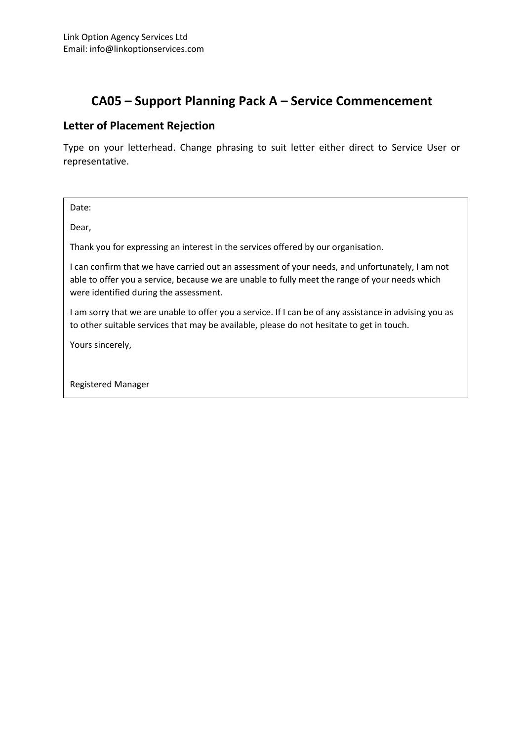#### **Letter of Placement Rejection**

Type on your letterhead. Change phrasing to suit letter either direct to Service User or representative.

Date:

Dear,

Thank you for expressing an interest in the services offered by our organisation.

I can confirm that we have carried out an assessment of your needs, and unfortunately, I am not able to offer you a service, because we are unable to fully meet the range of your needs which were identified during the assessment.

I am sorry that we are unable to offer you a service. If I can be of any assistance in advising you as to other suitable services that may be available, please do not hesitate to get in touch.

Yours sincerely,

Registered Manager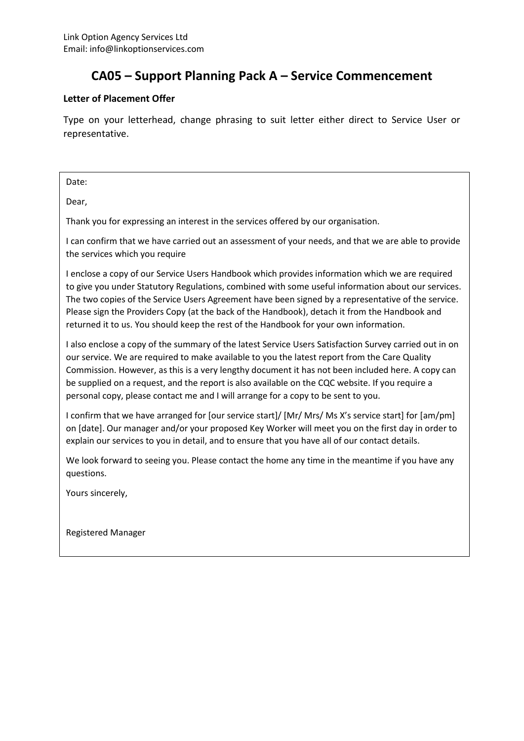#### **Letter of Placement Offer**

Type on your letterhead, change phrasing to suit letter either direct to Service User or representative.

Date:

Dear,

Thank you for expressing an interest in the services offered by our organisation.

I can confirm that we have carried out an assessment of your needs, and that we are able to provide the services which you require

I enclose a copy of our Service Users Handbook which provides information which we are required to give you under Statutory Regulations, combined with some useful information about our services. The two copies of the Service Users Agreement have been signed by a representative of the service. Please sign the Providers Copy (at the back of the Handbook), detach it from the Handbook and returned it to us. You should keep the rest of the Handbook for your own information.

I also enclose a copy of the summary of the latest Service Users Satisfaction Survey carried out in on our service. We are required to make available to you the latest report from the Care Quality Commission. However, as this is a very lengthy document it has not been included here. A copy can be supplied on a request, and the report is also available on the CQC website. If you require a personal copy, please contact me and I will arrange for a copy to be sent to you.

I confirm that we have arranged for [our service start]/ [Mr/ Mrs/ Ms X's service start] for [am/pm] on [date]. Our manager and/or your proposed Key Worker will meet you on the first day in order to explain our services to you in detail, and to ensure that you have all of our contact details.

We look forward to seeing you. Please contact the home any time in the meantime if you have any questions.

Yours sincerely,

Registered Manager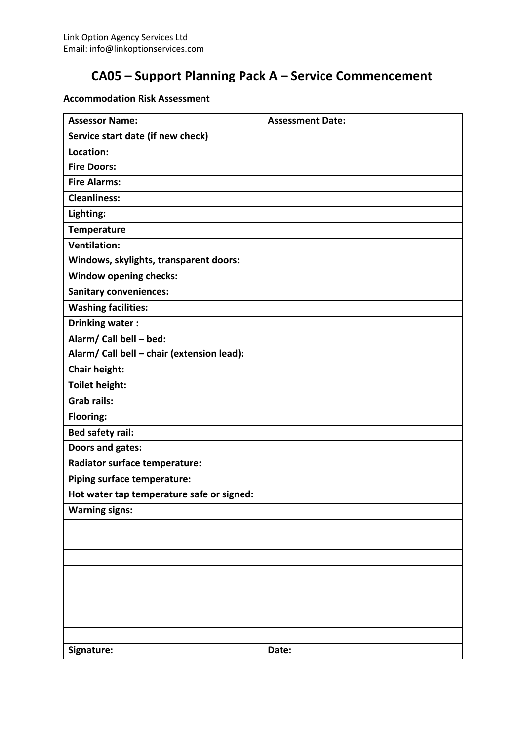#### **Accommodation Risk Assessment**

| <b>Assessor Name:</b>                      | <b>Assessment Date:</b> |
|--------------------------------------------|-------------------------|
| Service start date (if new check)          |                         |
| Location:                                  |                         |
| <b>Fire Doors:</b>                         |                         |
| <b>Fire Alarms:</b>                        |                         |
| <b>Cleanliness:</b>                        |                         |
| Lighting:                                  |                         |
| <b>Temperature</b>                         |                         |
| <b>Ventilation:</b>                        |                         |
| Windows, skylights, transparent doors:     |                         |
| <b>Window opening checks:</b>              |                         |
| <b>Sanitary conveniences:</b>              |                         |
| <b>Washing facilities:</b>                 |                         |
| Drinking water:                            |                         |
| Alarm/ Call bell - bed:                    |                         |
| Alarm/ Call bell - chair (extension lead): |                         |
| <b>Chair height:</b>                       |                         |
| <b>Toilet height:</b>                      |                         |
| <b>Grab rails:</b>                         |                         |
| Flooring:                                  |                         |
| <b>Bed safety rail:</b>                    |                         |
| Doors and gates:                           |                         |
| Radiator surface temperature:              |                         |
| Piping surface temperature:                |                         |
| Hot water tap temperature safe or signed:  |                         |
| <b>Warning signs:</b>                      |                         |
|                                            |                         |
|                                            |                         |
|                                            |                         |
|                                            |                         |
|                                            |                         |
|                                            |                         |
|                                            |                         |
|                                            |                         |
| Signature:                                 | Date:                   |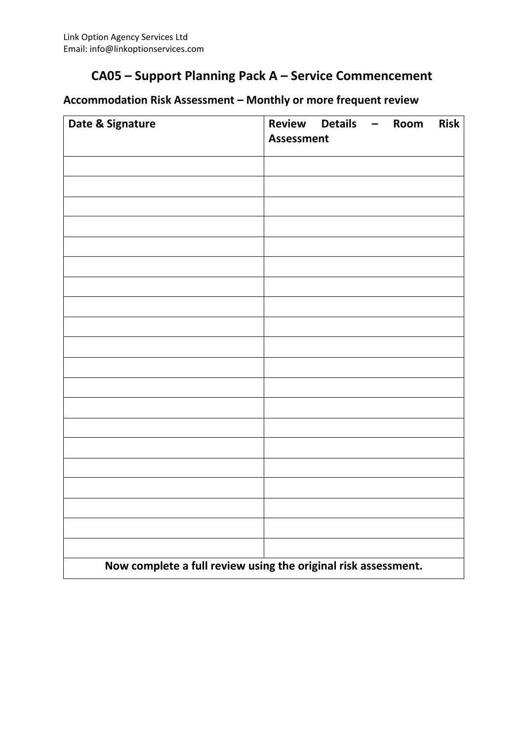#### **Accommodation Risk Assessment – Monthly or more frequent review**

| Date & Signature                                               | Review Details - Room<br><b>Assessment</b> |  |  |  | <b>Risk</b> |
|----------------------------------------------------------------|--------------------------------------------|--|--|--|-------------|
|                                                                |                                            |  |  |  |             |
|                                                                |                                            |  |  |  |             |
|                                                                |                                            |  |  |  |             |
|                                                                |                                            |  |  |  |             |
|                                                                |                                            |  |  |  |             |
|                                                                |                                            |  |  |  |             |
|                                                                |                                            |  |  |  |             |
|                                                                |                                            |  |  |  |             |
|                                                                |                                            |  |  |  |             |
|                                                                |                                            |  |  |  |             |
|                                                                |                                            |  |  |  |             |
|                                                                |                                            |  |  |  |             |
|                                                                |                                            |  |  |  |             |
|                                                                |                                            |  |  |  |             |
|                                                                |                                            |  |  |  |             |
|                                                                |                                            |  |  |  |             |
|                                                                |                                            |  |  |  |             |
|                                                                |                                            |  |  |  |             |
| Now complete a full review using the original risk assessment. |                                            |  |  |  |             |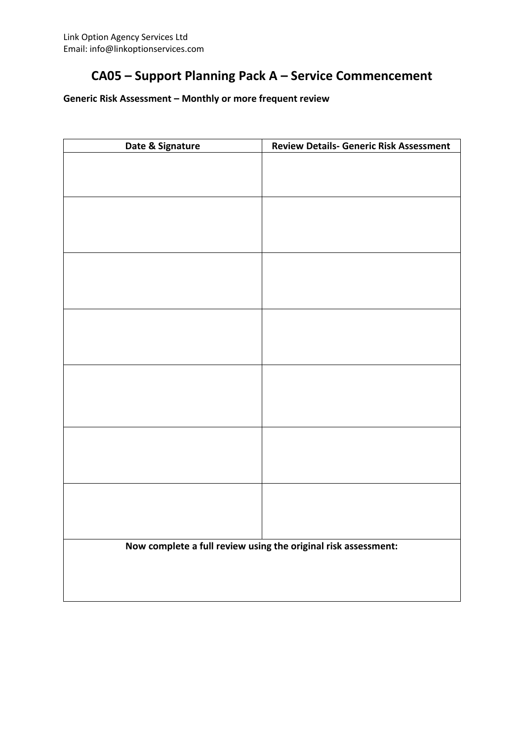#### **Generic Risk Assessment – Monthly or more frequent review**

| Date & Signature | <b>Review Details- Generic Risk Assessment</b>                 |
|------------------|----------------------------------------------------------------|
|                  |                                                                |
|                  |                                                                |
|                  |                                                                |
|                  |                                                                |
|                  |                                                                |
|                  |                                                                |
|                  |                                                                |
|                  |                                                                |
|                  |                                                                |
|                  |                                                                |
|                  |                                                                |
|                  |                                                                |
|                  |                                                                |
|                  |                                                                |
|                  |                                                                |
|                  |                                                                |
|                  |                                                                |
|                  |                                                                |
|                  |                                                                |
|                  |                                                                |
|                  |                                                                |
|                  |                                                                |
|                  | Now complete a full review using the original risk assessment: |
|                  |                                                                |
|                  |                                                                |
|                  |                                                                |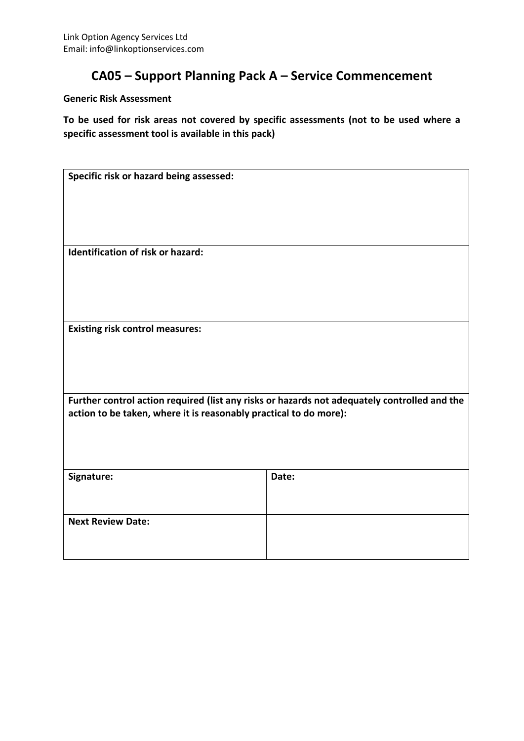#### **Generic Risk Assessment**

**To be used for risk areas not covered by specific assessments (not to be used where a specific assessment tool is available in this pack)**

| Specific risk or hazard being assessed:                           |                                                                                              |
|-------------------------------------------------------------------|----------------------------------------------------------------------------------------------|
|                                                                   |                                                                                              |
|                                                                   |                                                                                              |
|                                                                   |                                                                                              |
|                                                                   |                                                                                              |
| Identification of risk or hazard:                                 |                                                                                              |
|                                                                   |                                                                                              |
|                                                                   |                                                                                              |
|                                                                   |                                                                                              |
|                                                                   |                                                                                              |
|                                                                   |                                                                                              |
| <b>Existing risk control measures:</b>                            |                                                                                              |
|                                                                   |                                                                                              |
|                                                                   |                                                                                              |
|                                                                   |                                                                                              |
|                                                                   | Further control action required (list any risks or hazards not adequately controlled and the |
| action to be taken, where it is reasonably practical to do more): |                                                                                              |
|                                                                   |                                                                                              |
|                                                                   |                                                                                              |
|                                                                   |                                                                                              |
| Signature:                                                        | Date:                                                                                        |
|                                                                   |                                                                                              |
|                                                                   |                                                                                              |
| <b>Next Review Date:</b>                                          |                                                                                              |
|                                                                   |                                                                                              |
|                                                                   |                                                                                              |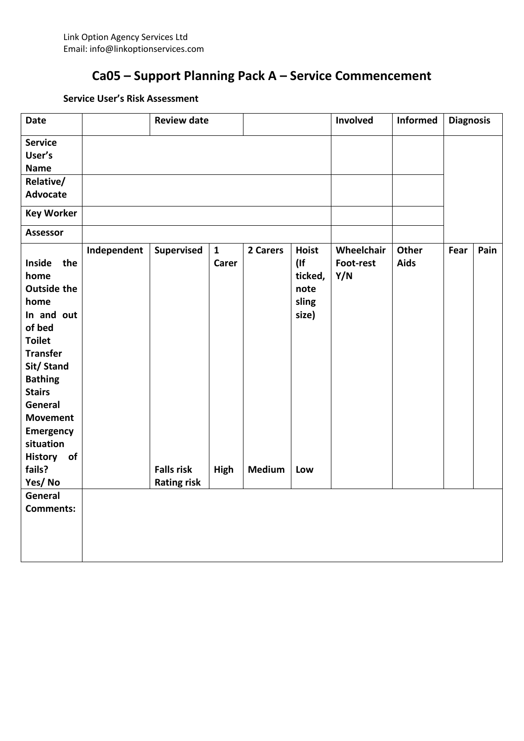#### **Service User's Risk Assessment**

| <b>Date</b>                                                                                                                                                                                                                                             |             | <b>Review date</b>                      |                              |               |                                                        | Involved                       | <b>Informed</b>      | <b>Diagnosis</b> |      |
|---------------------------------------------------------------------------------------------------------------------------------------------------------------------------------------------------------------------------------------------------------|-------------|-----------------------------------------|------------------------------|---------------|--------------------------------------------------------|--------------------------------|----------------------|------------------|------|
| <b>Service</b>                                                                                                                                                                                                                                          |             |                                         |                              |               |                                                        |                                |                      |                  |      |
| User's                                                                                                                                                                                                                                                  |             |                                         |                              |               |                                                        |                                |                      |                  |      |
| <b>Name</b>                                                                                                                                                                                                                                             |             |                                         |                              |               |                                                        |                                |                      |                  |      |
| Relative/                                                                                                                                                                                                                                               |             |                                         |                              |               |                                                        |                                |                      |                  |      |
| <b>Advocate</b>                                                                                                                                                                                                                                         |             |                                         |                              |               |                                                        |                                |                      |                  |      |
| <b>Key Worker</b>                                                                                                                                                                                                                                       |             |                                         |                              |               |                                                        |                                |                      |                  |      |
| <b>Assessor</b>                                                                                                                                                                                                                                         |             |                                         |                              |               |                                                        |                                |                      |                  |      |
| Inside<br>the<br>home<br><b>Outside the</b><br>home<br>In and out<br>of bed<br><b>Toilet</b><br><b>Transfer</b><br>Sit/ Stand<br><b>Bathing</b><br><b>Stairs</b><br>General<br><b>Movement</b><br><b>Emergency</b><br>situation<br><b>History</b><br>of | Independent | Supervised                              | $\mathbf{1}$<br><b>Carer</b> | 2 Carers      | <b>Hoist</b><br>(<br>ticked,<br>note<br>sling<br>size) | Wheelchair<br>Foot-rest<br>Y/N | <b>Other</b><br>Aids | Fear             | Pain |
| fails?<br>Yes/No                                                                                                                                                                                                                                        |             | <b>Falls risk</b><br><b>Rating risk</b> | High                         | <b>Medium</b> | Low                                                    |                                |                      |                  |      |
| General                                                                                                                                                                                                                                                 |             |                                         |                              |               |                                                        |                                |                      |                  |      |
| <b>Comments:</b>                                                                                                                                                                                                                                        |             |                                         |                              |               |                                                        |                                |                      |                  |      |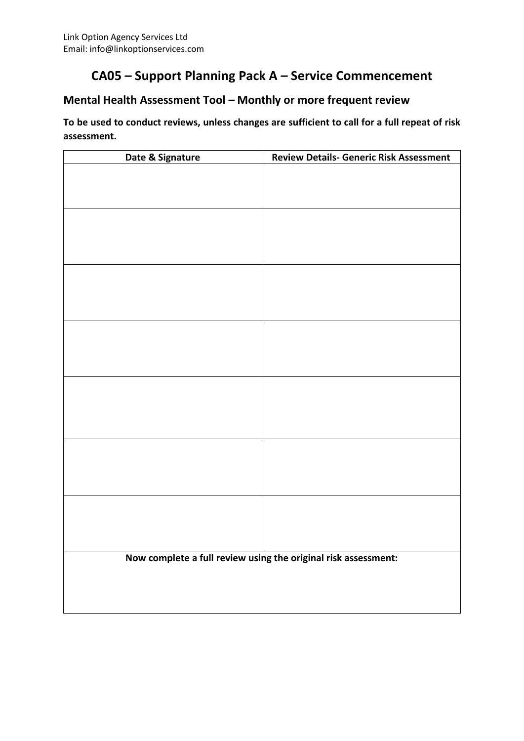#### **Mental Health Assessment Tool – Monthly or more frequent review**

**To be used to conduct reviews, unless changes are sufficient to call for a full repeat of risk assessment.**

| Date & Signature | <b>Review Details- Generic Risk Assessment</b>                 |
|------------------|----------------------------------------------------------------|
|                  |                                                                |
|                  |                                                                |
|                  |                                                                |
|                  |                                                                |
|                  |                                                                |
|                  |                                                                |
|                  |                                                                |
|                  |                                                                |
|                  |                                                                |
|                  |                                                                |
|                  |                                                                |
|                  |                                                                |
|                  |                                                                |
|                  |                                                                |
|                  |                                                                |
|                  |                                                                |
|                  |                                                                |
|                  |                                                                |
|                  |                                                                |
|                  |                                                                |
|                  |                                                                |
|                  |                                                                |
|                  |                                                                |
|                  | Now complete a full review using the original risk assessment: |
|                  |                                                                |
|                  |                                                                |
|                  |                                                                |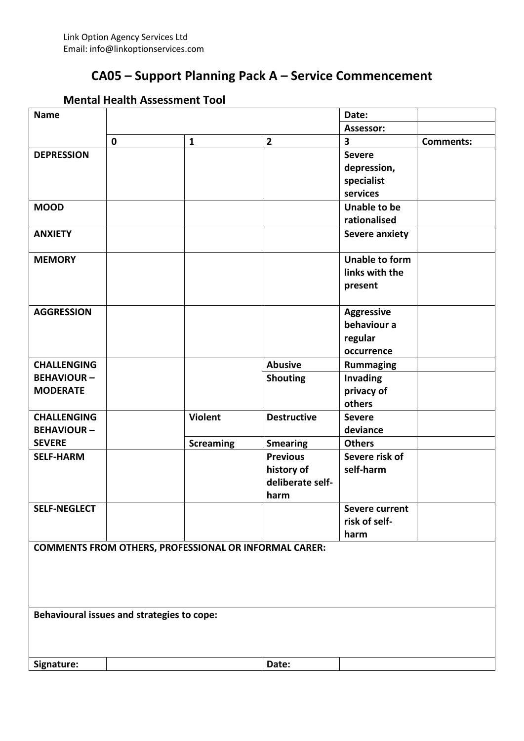#### **Mental Health Assessment Tool**

| <b>Name</b>         |                                            |                                                              |                    | Date:                   |                  |
|---------------------|--------------------------------------------|--------------------------------------------------------------|--------------------|-------------------------|------------------|
|                     |                                            |                                                              |                    | Assessor:               |                  |
|                     | $\mathbf 0$                                | $\mathbf{1}$                                                 | $\overline{2}$     | $\overline{\mathbf{3}}$ | <b>Comments:</b> |
| <b>DEPRESSION</b>   |                                            |                                                              |                    | <b>Severe</b>           |                  |
|                     |                                            |                                                              |                    | depression,             |                  |
|                     |                                            |                                                              |                    | specialist              |                  |
|                     |                                            |                                                              |                    | services                |                  |
| <b>MOOD</b>         |                                            |                                                              |                    | <b>Unable to be</b>     |                  |
|                     |                                            |                                                              |                    | rationalised            |                  |
| <b>ANXIETY</b>      |                                            |                                                              |                    | <b>Severe anxiety</b>   |                  |
| <b>MEMORY</b>       |                                            |                                                              |                    | <b>Unable to form</b>   |                  |
|                     |                                            |                                                              |                    | links with the          |                  |
|                     |                                            |                                                              |                    | present                 |                  |
|                     |                                            |                                                              |                    |                         |                  |
| <b>AGGRESSION</b>   |                                            |                                                              |                    | <b>Aggressive</b>       |                  |
|                     |                                            |                                                              |                    | behaviour a             |                  |
|                     |                                            |                                                              |                    | regular                 |                  |
|                     |                                            |                                                              |                    | occurrence              |                  |
| <b>CHALLENGING</b>  |                                            |                                                              | <b>Abusive</b>     | <b>Rummaging</b>        |                  |
| <b>BEHAVIOUR-</b>   |                                            |                                                              | <b>Shouting</b>    | Invading                |                  |
| <b>MODERATE</b>     |                                            |                                                              |                    | privacy of              |                  |
|                     |                                            |                                                              |                    | others                  |                  |
| <b>CHALLENGING</b>  |                                            | <b>Violent</b>                                               | <b>Destructive</b> | <b>Severe</b>           |                  |
| <b>BEHAVIOUR-</b>   |                                            |                                                              |                    | deviance                |                  |
| <b>SEVERE</b>       |                                            | <b>Screaming</b>                                             | <b>Smearing</b>    | <b>Others</b>           |                  |
| <b>SELF-HARM</b>    |                                            |                                                              | <b>Previous</b>    | Severe risk of          |                  |
|                     |                                            |                                                              | history of         | self-harm               |                  |
|                     |                                            |                                                              | deliberate self-   |                         |                  |
|                     |                                            |                                                              | harm               |                         |                  |
| <b>SELF-NEGLECT</b> |                                            |                                                              |                    | <b>Severe current</b>   |                  |
|                     |                                            |                                                              |                    | risk of self-           |                  |
|                     |                                            |                                                              |                    | harm                    |                  |
|                     |                                            | <b>COMMENTS FROM OTHERS, PROFESSIONAL OR INFORMAL CARER:</b> |                    |                         |                  |
|                     |                                            |                                                              |                    |                         |                  |
|                     |                                            |                                                              |                    |                         |                  |
|                     |                                            |                                                              |                    |                         |                  |
|                     | Behavioural issues and strategies to cope: |                                                              |                    |                         |                  |
|                     |                                            |                                                              |                    |                         |                  |
|                     |                                            |                                                              |                    |                         |                  |
| Signature:          |                                            |                                                              | Date:              |                         |                  |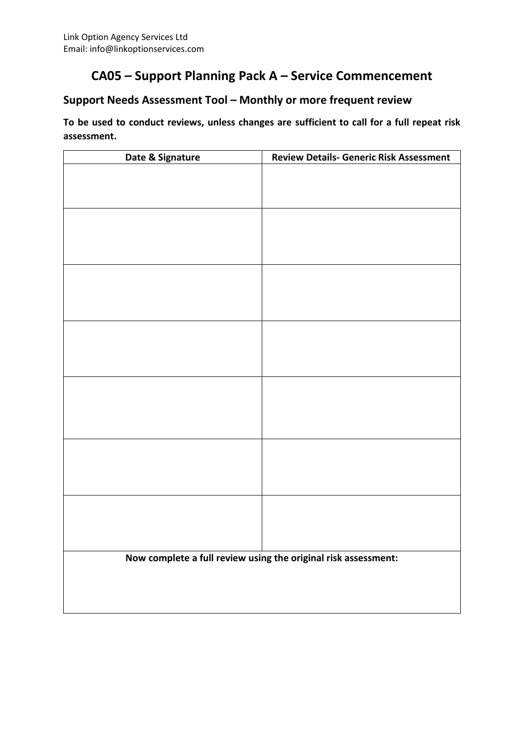#### **Support Needs Assessment Tool – Monthly or more frequent review**

**To be used to conduct reviews, unless changes are sufficient to call for a full repeat risk assessment.**

| Date & Signature | <b>Review Details- Generic Risk Assessment</b>                 |
|------------------|----------------------------------------------------------------|
|                  |                                                                |
|                  |                                                                |
|                  |                                                                |
|                  |                                                                |
|                  |                                                                |
|                  |                                                                |
|                  |                                                                |
|                  |                                                                |
|                  |                                                                |
|                  |                                                                |
|                  |                                                                |
|                  |                                                                |
|                  |                                                                |
|                  |                                                                |
|                  |                                                                |
|                  |                                                                |
|                  |                                                                |
|                  |                                                                |
|                  |                                                                |
|                  |                                                                |
|                  |                                                                |
|                  |                                                                |
|                  |                                                                |
|                  | Now complete a full review using the original risk assessment: |
|                  |                                                                |
|                  |                                                                |
|                  |                                                                |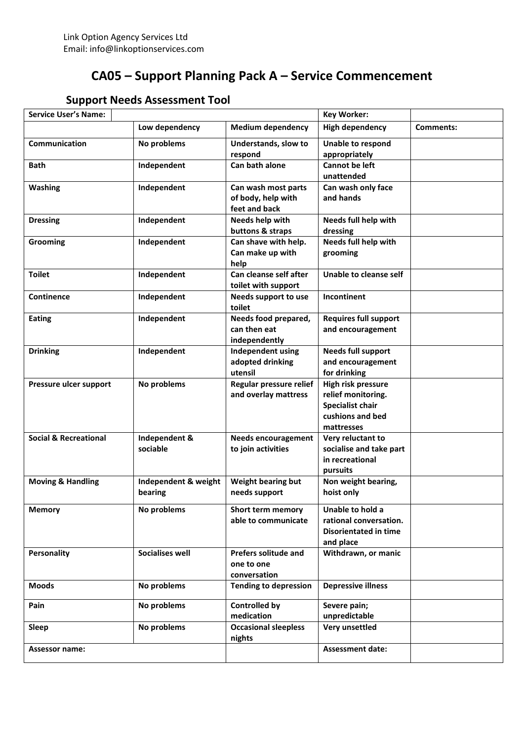| <b>Support Needs Assessment Tool</b> |  |
|--------------------------------------|--|
|--------------------------------------|--|

| <b>Service User's Name:</b>      |                        |                                       | <b>Key Worker:</b>                  |           |
|----------------------------------|------------------------|---------------------------------------|-------------------------------------|-----------|
|                                  | Low dependency         | <b>Medium dependency</b>              | <b>High dependency</b>              | Comments: |
| <b>Communication</b>             | No problems            | Understands, slow to                  | Unable to respond                   |           |
|                                  |                        | respond                               | appropriately                       |           |
| Bath                             | Independent            | Can bath alone                        | <b>Cannot be left</b><br>unattended |           |
| <b>Washing</b>                   | Independent            | Can wash most parts                   | Can wash only face                  |           |
|                                  |                        | of body, help with                    | and hands                           |           |
|                                  |                        | feet and back                         |                                     |           |
| <b>Dressing</b>                  | Independent            | Needs help with                       | Needs full help with                |           |
|                                  |                        | buttons & straps                      | dressing                            |           |
| Grooming                         | Independent            | Can shave with help.                  | Needs full help with                |           |
|                                  |                        | Can make up with                      | grooming                            |           |
|                                  |                        | help                                  |                                     |           |
| <b>Toilet</b>                    | Independent            | Can cleanse self after                | Unable to cleanse self              |           |
|                                  |                        | toilet with support                   |                                     |           |
| <b>Continence</b>                | Independent            | Needs support to use                  | Incontinent                         |           |
|                                  |                        | toilet                                |                                     |           |
| <b>Eating</b>                    | Independent            | Needs food prepared,                  | <b>Requires full support</b>        |           |
|                                  |                        | can then eat                          | and encouragement                   |           |
|                                  |                        | independently                         |                                     |           |
| <b>Drinking</b>                  | Independent            | <b>Independent using</b>              | <b>Needs full support</b>           |           |
|                                  |                        | adopted drinking                      | and encouragement                   |           |
|                                  |                        | utensil                               | for drinking                        |           |
| Pressure ulcer support           | No problems            | Regular pressure relief               | High risk pressure                  |           |
|                                  |                        | and overlay mattress                  | relief monitoring.                  |           |
|                                  |                        |                                       | <b>Specialist chair</b>             |           |
|                                  |                        |                                       | cushions and bed                    |           |
|                                  |                        |                                       | mattresses                          |           |
| <b>Social &amp; Recreational</b> | Independent &          | <b>Needs encouragement</b>            | Very reluctant to                   |           |
|                                  | sociable               | to join activities                    | socialise and take part             |           |
|                                  |                        |                                       | in recreational                     |           |
|                                  |                        |                                       | pursuits                            |           |
| <b>Moving &amp; Handling</b>     | Independent & weight   | Weight bearing but                    | Non weight bearing,                 |           |
|                                  | bearing                | needs support                         | hoist only                          |           |
| <b>Memory</b>                    | No problems            | <b>Short term memory</b>              | Unable to hold a                    |           |
|                                  |                        | able to communicate                   | rational conversation.              |           |
|                                  |                        |                                       | <b>Disorientated in time</b>        |           |
|                                  |                        |                                       | and place                           |           |
| Personality                      | <b>Socialises well</b> | <b>Prefers solitude and</b>           | Withdrawn, or manic                 |           |
|                                  |                        | one to one                            |                                     |           |
|                                  |                        | conversation                          |                                     |           |
| <b>Moods</b>                     | No problems            | <b>Tending to depression</b>          | <b>Depressive illness</b>           |           |
| Pain                             | No problems            | <b>Controlled by</b>                  | Severe pain;                        |           |
|                                  |                        | medication                            | unpredictable                       |           |
| <b>Sleep</b>                     | No problems            | <b>Occasional sleepless</b><br>nights | Very unsettled                      |           |
| <b>Assessor name:</b>            |                        |                                       | <b>Assessment date:</b>             |           |
|                                  |                        |                                       |                                     |           |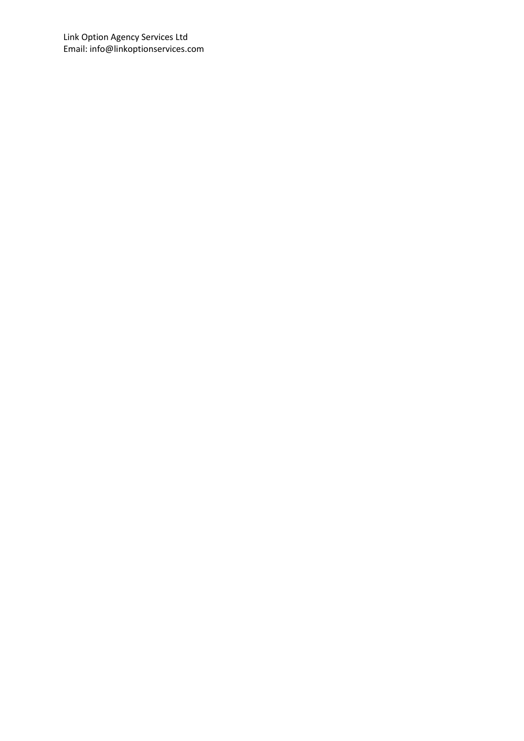Link Option Agency Services Ltd Email: info@linkoptionservices.com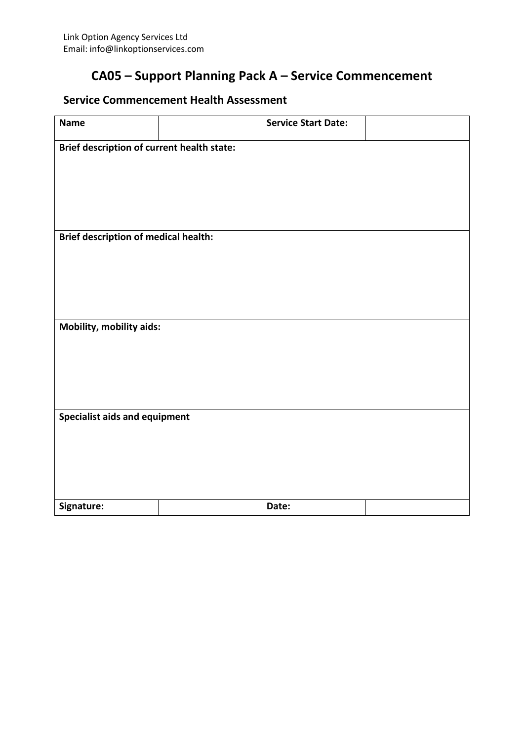#### **Service Commencement Health Assessment**

| <b>Name</b>                                 | <b>Service Start Date:</b> |  |
|---------------------------------------------|----------------------------|--|
| Brief description of current health state:  |                            |  |
|                                             |                            |  |
|                                             |                            |  |
|                                             |                            |  |
| <b>Brief description of medical health:</b> |                            |  |
|                                             |                            |  |
|                                             |                            |  |
|                                             |                            |  |
|                                             |                            |  |
| Mobility, mobility aids:                    |                            |  |
|                                             |                            |  |
|                                             |                            |  |
|                                             |                            |  |
| Specialist aids and equipment               |                            |  |
|                                             |                            |  |
|                                             |                            |  |
|                                             |                            |  |
| Signature:                                  | Date:                      |  |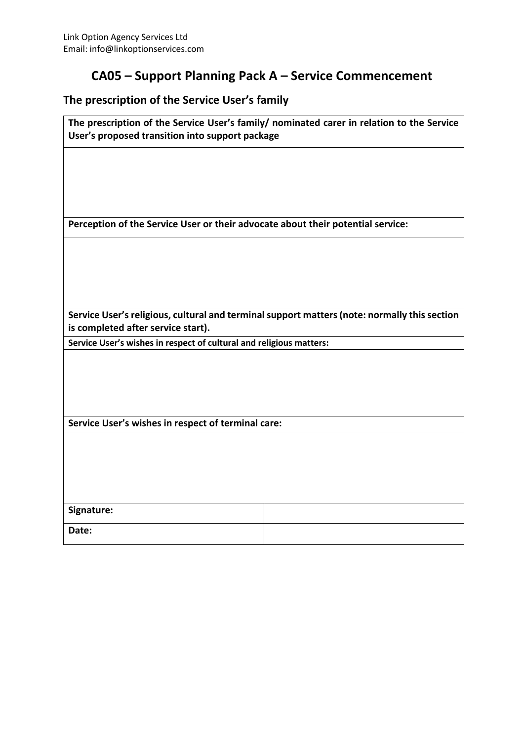#### **The prescription of the Service User's family**

| User's proposed transition into support package                                 | The prescription of the Service User's family/ nominated carer in relation to the Service    |
|---------------------------------------------------------------------------------|----------------------------------------------------------------------------------------------|
|                                                                                 |                                                                                              |
|                                                                                 |                                                                                              |
|                                                                                 |                                                                                              |
|                                                                                 |                                                                                              |
| Perception of the Service User or their advocate about their potential service: |                                                                                              |
|                                                                                 |                                                                                              |
|                                                                                 |                                                                                              |
|                                                                                 |                                                                                              |
|                                                                                 | Service User's religious, cultural and terminal support matters (note: normally this section |
| is completed after service start).                                              |                                                                                              |
| Service User's wishes in respect of cultural and religious matters:             |                                                                                              |
|                                                                                 |                                                                                              |
|                                                                                 |                                                                                              |
|                                                                                 |                                                                                              |
| Service User's wishes in respect of terminal care:                              |                                                                                              |
|                                                                                 |                                                                                              |
|                                                                                 |                                                                                              |
|                                                                                 |                                                                                              |
|                                                                                 |                                                                                              |
| Signature:                                                                      |                                                                                              |
| Date:                                                                           |                                                                                              |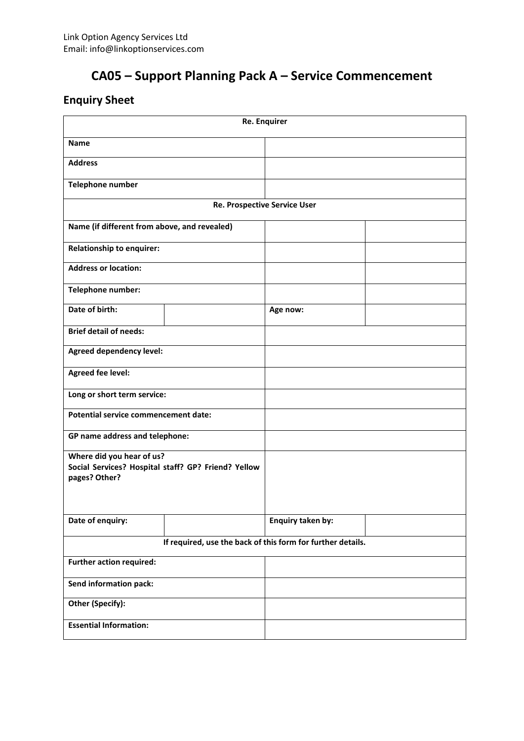### **Enquiry Sheet**

| <b>Re. Enquirer</b>                                                                               |  |                   |  |  |  |  |
|---------------------------------------------------------------------------------------------------|--|-------------------|--|--|--|--|
| <b>Name</b>                                                                                       |  |                   |  |  |  |  |
| <b>Address</b>                                                                                    |  |                   |  |  |  |  |
| <b>Telephone number</b>                                                                           |  |                   |  |  |  |  |
| <b>Re. Prospective Service User</b>                                                               |  |                   |  |  |  |  |
| Name (if different from above, and revealed)                                                      |  |                   |  |  |  |  |
| Relationship to enquirer:                                                                         |  |                   |  |  |  |  |
| <b>Address or location:</b>                                                                       |  |                   |  |  |  |  |
| Telephone number:                                                                                 |  |                   |  |  |  |  |
| Date of birth:                                                                                    |  | Age now:          |  |  |  |  |
| <b>Brief detail of needs:</b>                                                                     |  |                   |  |  |  |  |
| <b>Agreed dependency level:</b>                                                                   |  |                   |  |  |  |  |
| <b>Agreed fee level:</b>                                                                          |  |                   |  |  |  |  |
| Long or short term service:                                                                       |  |                   |  |  |  |  |
| <b>Potential service commencement date:</b>                                                       |  |                   |  |  |  |  |
| GP name address and telephone:                                                                    |  |                   |  |  |  |  |
| Where did you hear of us?<br>Social Services? Hospital staff? GP? Friend? Yellow<br>pages? Other? |  |                   |  |  |  |  |
| Date of enquiry:                                                                                  |  | Enquiry taken by: |  |  |  |  |
| If required, use the back of this form for further details.                                       |  |                   |  |  |  |  |
| <b>Further action required:</b>                                                                   |  |                   |  |  |  |  |
| Send information pack:                                                                            |  |                   |  |  |  |  |
| Other (Specify):                                                                                  |  |                   |  |  |  |  |
| <b>Essential Information:</b>                                                                     |  |                   |  |  |  |  |